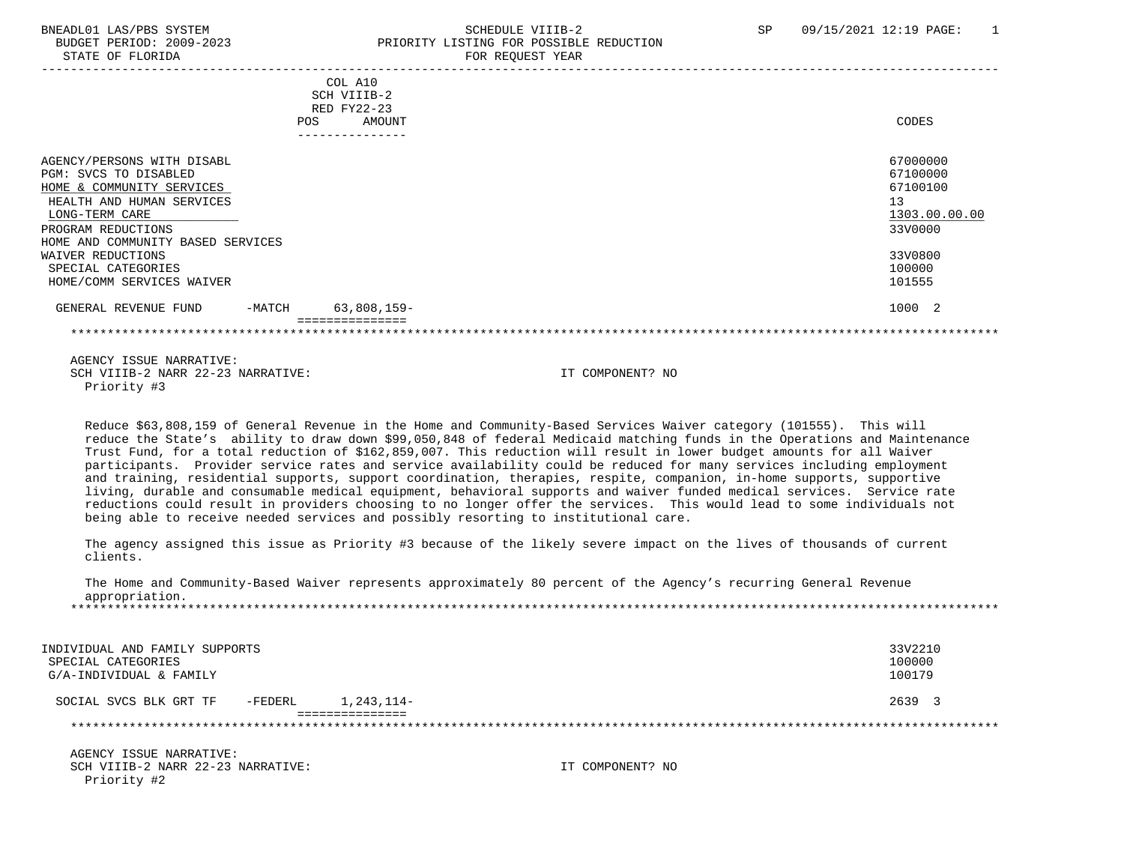## BNEADL01 LAS/PBS SYSTEM SCHEDULE VIIIB-2 SCHEDULE VIIIB-2 SP 09/15/2021 12:19 PAGE: 1 BUDGET PERIOD: 2009-2023 PRIORITY LISTING FOR POSSIBLE REDUCTION STATE OF FLORIDA FOR REQUEST YEAR FOR REQUEST YEAR

| COL A10<br>SCH VIIIB-2<br>RED FY22-23<br>AMOUNT<br><b>POS</b> | CODES         |
|---------------------------------------------------------------|---------------|
|                                                               |               |
|                                                               |               |
| AGENCY/PERSONS WITH DISABL                                    | 67000000      |
| PGM: SVCS TO DISABLED                                         | 67100000      |
| HOME & COMMUNITY SERVICES                                     | 67100100      |
| HEALTH AND HUMAN SERVICES                                     | 13            |
| LONG-TERM CARE                                                | 1303.00.00.00 |
| PROGRAM REDUCTIONS                                            | 33V0000       |
| HOME AND COMMUNITY BASED SERVICES                             |               |
| WAIVER REDUCTIONS                                             | 33V0800       |
| SPECIAL CATEGORIES                                            | 100000        |
| HOME/COMM SERVICES WAIVER                                     | 101555        |
| 63,808,159-<br>GENERAL REVENUE FUND<br>-MATCH                 | 1000 2        |
|                                                               |               |

 AGENCY ISSUE NARRATIVE: SCH VIIIB-2 NARR 22-23 NARRATIVE: IT COMPONENT? NO Priority #3

 Reduce \$63,808,159 of General Revenue in the Home and Community-Based Services Waiver category (101555). This will reduce the State's ability to draw down \$99,050,848 of federal Medicaid matching funds in the Operations and Maintenance Trust Fund, for a total reduction of \$162,859,007. This reduction will result in lower budget amounts for all Waiver participants. Provider service rates and service availability could be reduced for many services including employment and training, residential supports, support coordination, therapies, respite, companion, in-home supports, supportive living, durable and consumable medical equipment, behavioral supports and waiver funded medical services. Service rate reductions could result in providers choosing to no longer offer the services. This would lead to some individuals not being able to receive needed services and possibly resorting to institutional care.

 The agency assigned this issue as Priority #3 because of the likely severe impact on the lives of thousands of current clients.

 The Home and Community-Based Waiver represents approximately 80 percent of the Agency's recurring General Revenue appropriation. \*\*\*\*\*\*\*\*\*\*\*\*\*\*\*\*\*\*\*\*\*\*\*\*\*\*\*\*\*\*\*\*\*\*\*\*\*\*\*\*\*\*\*\*\*\*\*\*\*\*\*\*\*\*\*\*\*\*\*\*\*\*\*\*\*\*\*\*\*\*\*\*\*\*\*\*\*\*\*\*\*\*\*\*\*\*\*\*\*\*\*\*\*\*\*\*\*\*\*\*\*\*\*\*\*\*\*\*\*\*\*\*\*\*\*\*\*\*\*\*\*\*\*\*\*\*\*

| INDIVIDUAL AND FAMILY SUPPORTS<br>SPECIAL CATEGORIES<br>G/A-INDIVIDUAL & FAMILY |            | 33V2210<br>100000<br>100179 |
|---------------------------------------------------------------------------------|------------|-----------------------------|
| -FEDERL<br>SOCIAL SVCS BLK GRT TF                                               | 1,243,114- | 2639 3                      |
|                                                                                 |            |                             |

 AGENCY ISSUE NARRATIVE: SCH VIIIB-2 NARR 22-23 NARRATIVE: IT COMPONENT? NO Priority #2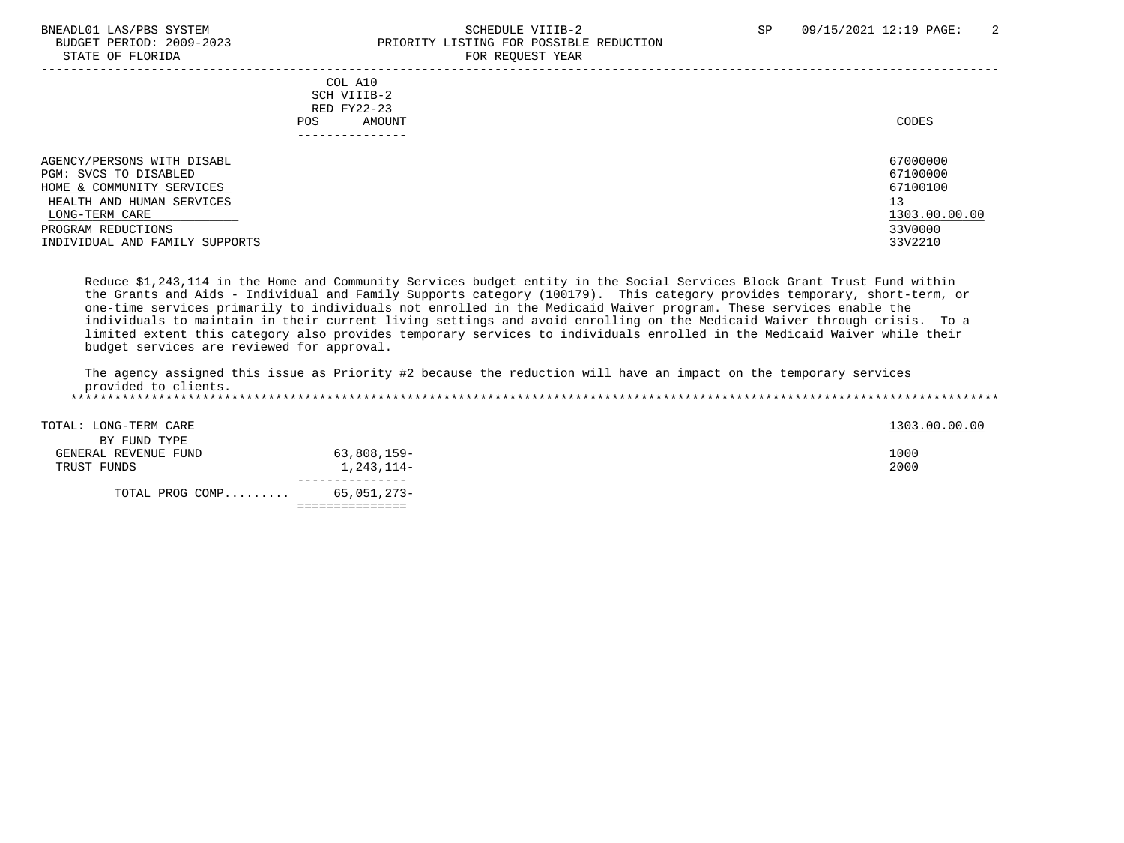## BNEADL01 LAS/PBS SYSTEM SCHEDULE VIIIB-2 SCHEDULE VIIIB-2 SP 09/15/2021 12:19 PAGE: 2<br>BUDGET PERIOD: 2009-2023 PRIORITY LISTING FOR POSSIBLE REDUCTION BUDGET PERIOD: 2009-2023<br>
STATE OF FLORIDA<br>
FOR REOUEST YEAR FOR REQUEST YEAR

|                                                                                                                                                                                         | COL A10<br>SCH VIIIB-2<br>RED FY22-23<br>AMOUNT<br>POS.<br>------------- | CODES                                                                         |
|-----------------------------------------------------------------------------------------------------------------------------------------------------------------------------------------|--------------------------------------------------------------------------|-------------------------------------------------------------------------------|
| AGENCY/PERSONS WITH DISABL<br>PGM: SVCS TO DISABLED<br>HOME & COMMUNITY SERVICES<br>HEALTH AND HUMAN SERVICES<br>LONG-TERM CARE<br>PROGRAM REDUCTIONS<br>INDIVIDUAL AND FAMILY SUPPORTS |                                                                          | 67000000<br>67100000<br>67100100<br>13<br>1303.00.00.00<br>33V0000<br>33V2210 |

 Reduce \$1,243,114 in the Home and Community Services budget entity in the Social Services Block Grant Trust Fund within the Grants and Aids - Individual and Family Supports category (100179). This category provides temporary, short-term, or one-time services primarily to individuals not enrolled in the Medicaid Waiver program. These services enable the individuals to maintain in their current living settings and avoid enrolling on the Medicaid Waiver through crisis. To a limited extent this category also provides temporary services to individuals enrolled in the Medicaid Waiver while their budget services are reviewed for approval.

 The agency assigned this issue as Priority #2 because the reduction will have an impact on the temporary services provided to clients. \*\*\*\*\*\*\*\*\*\*\*\*\*\*\*\*\*\*\*\*\*\*\*\*\*\*\*\*\*\*\*\*\*\*\*\*\*\*\*\*\*\*\*\*\*\*\*\*\*\*\*\*\*\*\*\*\*\*\*\*\*\*\*\*\*\*\*\*\*\*\*\*\*\*\*\*\*\*\*\*\*\*\*\*\*\*\*\*\*\*\*\*\*\*\*\*\*\*\*\*\*\*\*\*\*\*\*\*\*\*\*\*\*\*\*\*\*\*\*\*\*\*\*\*\*\*\*

| TOTAL: LONG-TERM CARE<br>BY FUND TYPE |             | 1303.00.00.00 |
|---------------------------------------|-------------|---------------|
|                                       |             |               |
| GENERAL REVENUE FUND                  | 63,808,159- | 1000          |
| TRUST FUNDS                           | 1,243,114-  | 2000          |
|                                       |             |               |
| TOTAL PROG COMP                       | 65,051,273- |               |
|                                       |             |               |